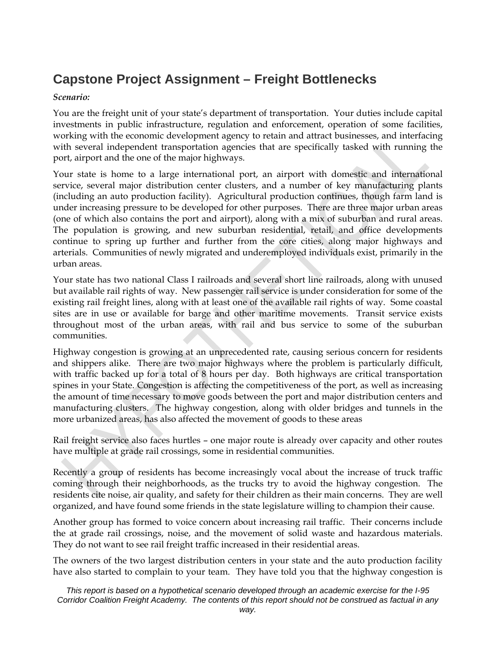### **Capstone Project Assignment – Freight Bottlenecks**

#### *Scenario:*

You are the freight unit of your state's department of transportation. Your duties include capital investments in public infrastructure, regulation and enforcement, operation of some facilities, working with the economic development agency to retain and attract businesses, and interfacing with several independent transportation agencies that are specifically tasked with running the port, airport and the one of the major highways.

Your state is home to a large international port, an airport with domestic and international service, several major distribution center clusters, and a number of key manufacturing plants (including an auto production facility). Agricultural production continues, though farm land is under increasing pressure to be developed for other purposes. There are three major urban areas (one of which also contains the port and airport), along with a mix of suburban and rural areas. The population is growing, and new suburban residential, retail, and office developments continue to spring up further and further from the core cities, along major highways and arterials. Communities of newly migrated and underemployed individuals exist, primarily in the urban areas.

Your state has two national Class I railroads and several short line railroads, along with unused but available rail rights of way. New passenger rail service is under consideration for some of the existing rail freight lines, along with at least one of the available rail rights of way. Some coastal sites are in use or available for barge and other maritime movements. Transit service exists throughout most of the urban areas, with rail and bus service to some of the suburban communities.

Highway congestion is growing at an unprecedented rate, causing serious concern for residents and shippers alike. There are two major highways where the problem is particularly difficult, with traffic backed up for a total of 8 hours per day. Both highways are critical transportation spines in your State. Congestion is affecting the competitiveness of the port, as well as increasing the amount of time necessary to move goods between the port and major distribution centers and manufacturing clusters. The highway congestion, along with older bridges and tunnels in the more urbanized areas, has also affected the movement of goods to these areas

Rail freight service also faces hurtles – one major route is already over capacity and other routes have multiple at grade rail crossings, some in residential communities.

Recently a group of residents has become increasingly vocal about the increase of truck traffic coming through their neighborhoods, as the trucks try to avoid the highway congestion. The residents cite noise, air quality, and safety for their children as their main concerns. They are well organized, and have found some friends in the state legislature willing to champion their cause.

Another group has formed to voice concern about increasing rail traffic. Their concerns include the at grade rail crossings, noise, and the movement of solid waste and hazardous materials. They do not want to see rail freight traffic increased in their residential areas.

The owners of the two largest distribution centers in your state and the auto production facility have also started to complain to your team. They have told you that the highway congestion is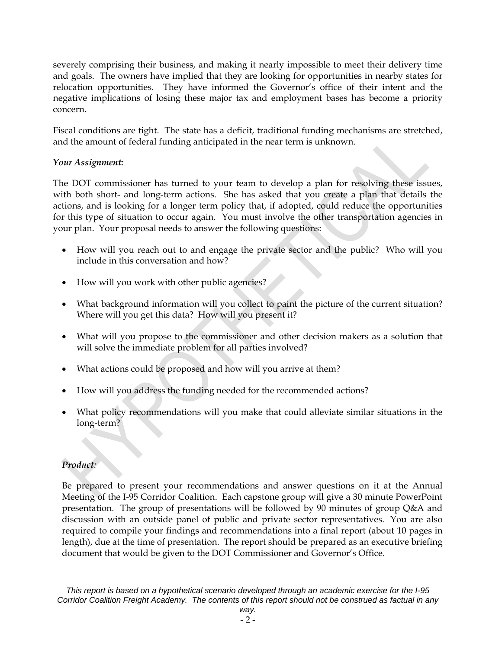severely comprising their business, and making it nearly impossible to meet their delivery time and goals. The owners have implied that they are looking for opportunities in nearby states for relocation opportunities. They have informed the Governor's office of their intent and the negative implications of losing these major tax and employment bases has become a priority concern.

Fiscal conditions are tight. The state has a deficit, traditional funding mechanisms are stretched, and the amount of federal funding anticipated in the near term is unknown.

#### *Your Assignment:*

The DOT commissioner has turned to your team to develop a plan for resolving these issues, with both short- and long-term actions. She has asked that you create a plan that details the actions, and is looking for a longer term policy that, if adopted, could reduce the opportunities for this type of situation to occur again. You must involve the other transportation agencies in your plan. Your proposal needs to answer the following questions:

- How will you reach out to and engage the private sector and the public? Who will you include in this conversation and how?
- How will you work with other public agencies?
- What background information will you collect to paint the picture of the current situation? Where will you get this data? How will you present it?
- What will you propose to the commissioner and other decision makers as a solution that will solve the immediate problem for all parties involved?
- What actions could be proposed and how will you arrive at them?
- How will you address the funding needed for the recommended actions?
- What policy recommendations will you make that could alleviate similar situations in the long-term?

#### *Product:*

Be prepared to present your recommendations and answer questions on it at the Annual Meeting of the I-95 Corridor Coalition. Each capstone group will give a 30 minute PowerPoint presentation. The group of presentations will be followed by 90 minutes of group Q&A and discussion with an outside panel of public and private sector representatives. You are also required to compile your findings and recommendations into a final report (about 10 pages in length), due at the time of presentation. The report should be prepared as an executive briefing document that would be given to the DOT Commissioner and Governor's Office.

*This report is based on a hypothetical scenario developed through an academic exercise for the I-95 Corridor Coalition Freight Academy. The contents of this report should not be construed as factual in any*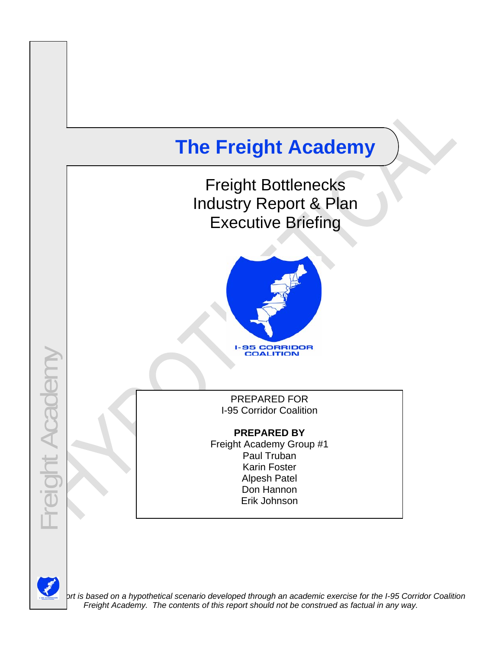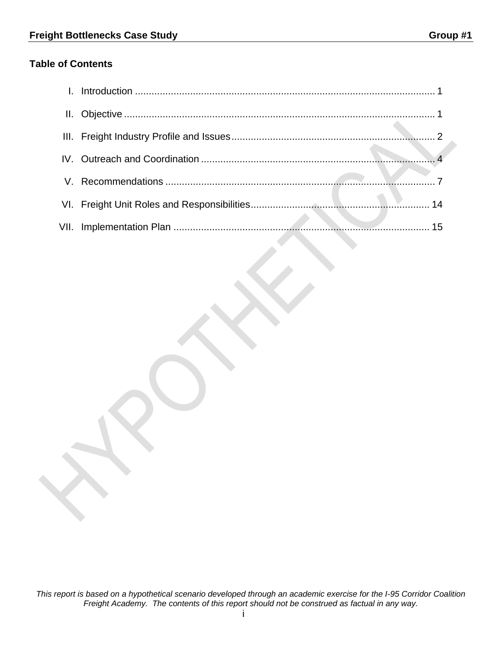### **Table of Contents**

| VII. |  |
|------|--|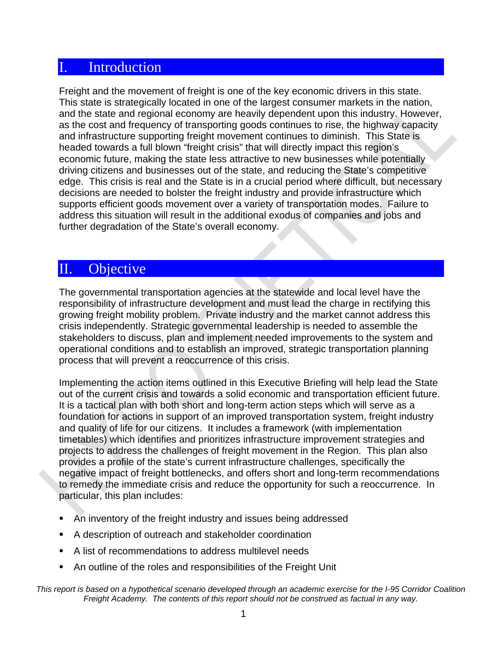### **Introduction**

Freight and the movement of freight is one of the key economic drivers in this state. This state is strategically located in one of the largest consumer markets in the nation, and the state and regional economy are heavily dependent upon this industry. However, as the cost and frequency of transporting goods continues to rise, the highway capacity and infrastructure supporting freight movement continues to diminish. This State is headed towards a full blown "freight crisis" that will directly impact this region's economic future, making the state less attractive to new businesses while potentially driving citizens and businesses out of the state, and reducing the State's competitive edge. This crisis is real and the State is in a crucial period where difficult, but necessary decisions are needed to bolster the freight industry and provide infrastructure which supports efficient goods movement over a variety of transportation modes. Failure to address this situation will result in the additional exodus of companies and jobs and further degradation of the State's overall economy.

### II. Objective

The governmental transportation agencies at the statewide and local level have the responsibility of infrastructure development and must lead the charge in rectifying this growing freight mobility problem. Private industry and the market cannot address this crisis independently. Strategic governmental leadership is needed to assemble the stakeholders to discuss, plan and implement needed improvements to the system and operational conditions and to establish an improved, strategic transportation planning process that will prevent a reoccurrence of this crisis.

Implementing the action items outlined in this Executive Briefing will help lead the State out of the current crisis and towards a solid economic and transportation efficient future. It is a tactical plan with both short and long-term action steps which will serve as a foundation for actions in support of an improved transportation system, freight industry and quality of life for our citizens. It includes a framework (with implementation timetables) which identifies and prioritizes infrastructure improvement strategies and projects to address the challenges of freight movement in the Region. This plan also provides a profile of the state's current infrastructure challenges, specifically the negative impact of freight bottlenecks, and offers short and long-term recommendations to remedy the immediate crisis and reduce the opportunity for such a reoccurrence. In particular, this plan includes:

- An inventory of the freight industry and issues being addressed
- A description of outreach and stakeholder coordination
- A list of recommendations to address multilevel needs
- An outline of the roles and responsibilities of the Freight Unit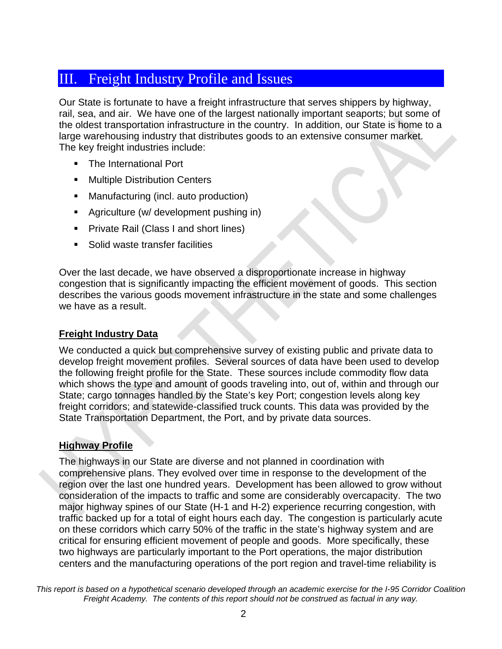### III. Freight Industry Profile and Issues

Our State is fortunate to have a freight infrastructure that serves shippers by highway, rail, sea, and air. We have one of the largest nationally important seaports; but some of the oldest transportation infrastructure in the country. In addition, our State is home to a large warehousing industry that distributes goods to an extensive consumer market. The key freight industries include:

- The International Port
- **Multiple Distribution Centers**
- **Manufacturing (incl. auto production)**
- **Agriculture (w/ development pushing in)**
- **Private Rail (Class I and short lines)**
- Solid waste transfer facilities

Over the last decade, we have observed a disproportionate increase in highway congestion that is significantly impacting the efficient movement of goods. This section describes the various goods movement infrastructure in the state and some challenges we have as a result.

#### **Freight Industry Data**

We conducted a quick but comprehensive survey of existing public and private data to develop freight movement profiles. Several sources of data have been used to develop the following freight profile for the State. These sources include commodity flow data which shows the type and amount of goods traveling into, out of, within and through our State; cargo tonnages handled by the State's key Port; congestion levels along key freight corridors; and statewide-classified truck counts. This data was provided by the State Transportation Department, the Port, and by private data sources.

### **Highway Profile**

The highways in our State are diverse and not planned in coordination with comprehensive plans. They evolved over time in response to the development of the region over the last one hundred years. Development has been allowed to grow without consideration of the impacts to traffic and some are considerably overcapacity. The two major highway spines of our State (H-1 and H-2) experience recurring congestion, with traffic backed up for a total of eight hours each day. The congestion is particularly acute on these corridors which carry 50% of the traffic in the state's highway system and are critical for ensuring efficient movement of people and goods. More specifically, these two highways are particularly important to the Port operations, the major distribution centers and the manufacturing operations of the port region and travel-time reliability is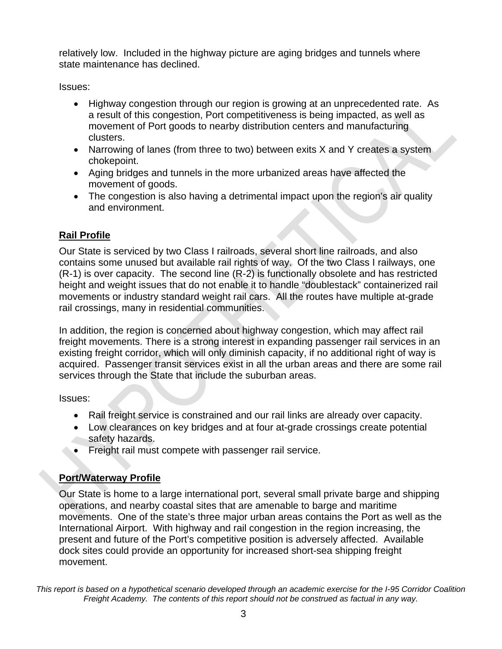relatively low. Included in the highway picture are aging bridges and tunnels where state maintenance has declined.

Issues:

- Highway congestion through our region is growing at an unprecedented rate. As a result of this congestion, Port competitiveness is being impacted, as well as movement of Port goods to nearby distribution centers and manufacturing clusters.
- Narrowing of lanes (from three to two) between exits X and Y creates a system chokepoint.
- Aging bridges and tunnels in the more urbanized areas have affected the movement of goods.
- The congestion is also having a detrimental impact upon the region's air quality and environment.

### **Rail Profile**

Our State is serviced by two Class I railroads, several short line railroads, and also contains some unused but available rail rights of way. Of the two Class I railways, one (R-1) is over capacity. The second line (R-2) is functionally obsolete and has restricted height and weight issues that do not enable it to handle "doublestack" containerized rail movements or industry standard weight rail cars. All the routes have multiple at-grade rail crossings, many in residential communities.

In addition, the region is concerned about highway congestion, which may affect rail freight movements. There is a strong interest in expanding passenger rail services in an existing freight corridor, which will only diminish capacity, if no additional right of way is acquired. Passenger transit services exist in all the urban areas and there are some rail services through the State that include the suburban areas.

Issues:

- Rail freight service is constrained and our rail links are already over capacity.
- Low clearances on key bridges and at four at-grade crossings create potential safety hazards.
- Freight rail must compete with passenger rail service.

### **Port/Waterway Profile**

Our State is home to a large international port, several small private barge and shipping operations, and nearby coastal sites that are amenable to barge and maritime movements. One of the state's three major urban areas contains the Port as well as the International Airport. With highway and rail congestion in the region increasing, the present and future of the Port's competitive position is adversely affected. Available dock sites could provide an opportunity for increased short-sea shipping freight movement.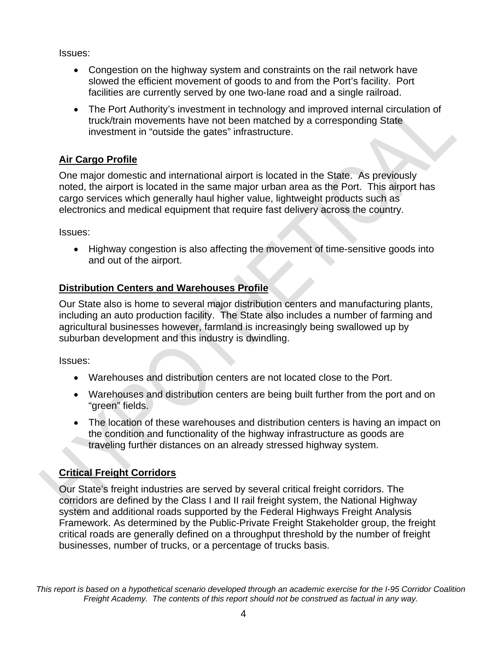Issues:

- Congestion on the highway system and constraints on the rail network have slowed the efficient movement of goods to and from the Port's facility. Port facilities are currently served by one two-lane road and a single railroad.
- The Port Authority's investment in technology and improved internal circulation of truck/train movements have not been matched by a corresponding State investment in "outside the gates" infrastructure.

### **Air Cargo Profile**

One major domestic and international airport is located in the State. As previously noted, the airport is located in the same major urban area as the Port. This airport has cargo services which generally haul higher value, lightweight products such as electronics and medical equipment that require fast delivery across the country.

Issues:

• Highway congestion is also affecting the movement of time-sensitive goods into and out of the airport.

### **Distribution Centers and Warehouses Profile**

Our State also is home to several major distribution centers and manufacturing plants, including an auto production facility. The State also includes a number of farming and agricultural businesses however, farmland is increasingly being swallowed up by suburban development and this industry is dwindling.

Issues:

- Warehouses and distribution centers are not located close to the Port.
- Warehouses and distribution centers are being built further from the port and on "green" fields.
- The location of these warehouses and distribution centers is having an impact on the condition and functionality of the highway infrastructure as goods are traveling further distances on an already stressed highway system.

### **Critical Freight Corridors**

Our State's freight industries are served by several critical freight corridors. The corridors are defined by the Class I and II rail freight system, the National Highway system and additional roads supported by the Federal Highways Freight Analysis Framework. As determined by the Public-Private Freight Stakeholder group, the freight critical roads are generally defined on a throughput threshold by the number of freight businesses, number of trucks, or a percentage of trucks basis.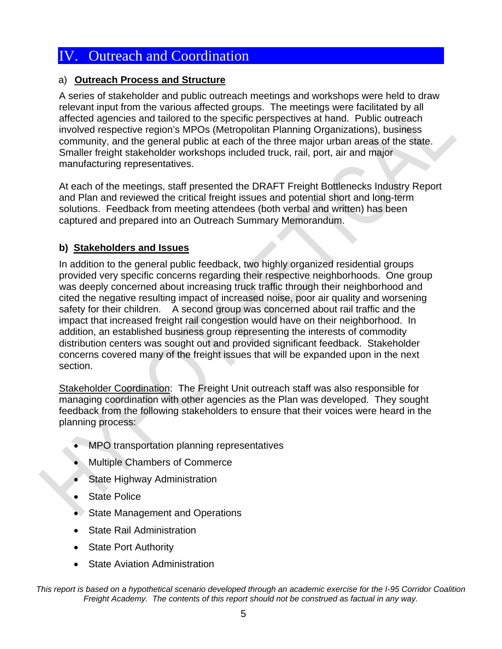### a) **Outreach Process and Structure**

A series of stakeholder and public outreach meetings and workshops were held to draw relevant input from the various affected groups. The meetings were facilitated by all affected agencies and tailored to the specific perspectives at hand. Public outreach involved respective region's MPOs (Metropolitan Planning Organizations), business community, and the general public at each of the three major urban areas of the state. Smaller freight stakeholder workshops included truck, rail, port, air and major manufacturing representatives.

At each of the meetings, staff presented the DRAFT Freight Bottlenecks Industry Report and Plan and reviewed the critical freight issues and potential short and long-term solutions. Feedback from meeting attendees (both verbal and written) has been captured and prepared into an Outreach Summary Memorandum.

### **b) Stakeholders and Issues**

In addition to the general public feedback, two highly organized residential groups provided very specific concerns regarding their respective neighborhoods. One group was deeply concerned about increasing truck traffic through their neighborhood and cited the negative resulting impact of increased noise, poor air quality and worsening safety for their children. A second group was concerned about rail traffic and the impact that increased freight rail congestion would have on their neighborhood. In addition, an established business group representing the interests of commodity distribution centers was sought out and provided significant feedback. Stakeholder concerns covered many of the freight issues that will be expanded upon in the next section.

Stakeholder Coordination: The Freight Unit outreach staff was also responsible for managing coordination with other agencies as the Plan was developed. They sought feedback from the following stakeholders to ensure that their voices were heard in the planning process:

- MPO transportation planning representatives
- Multiple Chambers of Commerce
- State Highway Administration
- **State Police**
- State Management and Operations
- **State Rail Administration**
- **State Port Authority**
- State Aviation Administration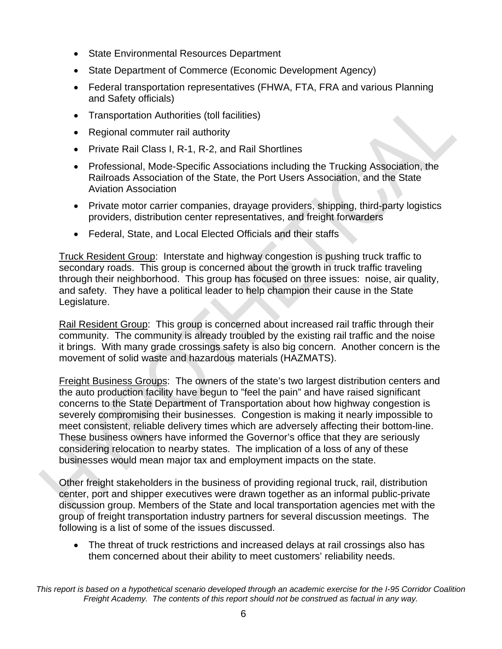- State Environmental Resources Department
- State Department of Commerce (Economic Development Agency)
- Federal transportation representatives (FHWA, FTA, FRA and various Planning and Safety officials)
- Transportation Authorities (toll facilities)
- Regional commuter rail authority
- Private Rail Class I, R-1, R-2, and Rail Shortlines
- Professional, Mode-Specific Associations including the Trucking Association, the Railroads Association of the State, the Port Users Association, and the State Aviation Association
- Private motor carrier companies, drayage providers, shipping, third-party logistics providers, distribution center representatives, and freight forwarders
- Federal, State, and Local Elected Officials and their staffs

Truck Resident Group: Interstate and highway congestion is pushing truck traffic to secondary roads. This group is concerned about the growth in truck traffic traveling through their neighborhood. This group has focused on three issues: noise, air quality, and safety. They have a political leader to help champion their cause in the State Legislature.

Rail Resident Group: This group is concerned about increased rail traffic through their community. The community is already troubled by the existing rail traffic and the noise it brings. With many grade crossings safety is also big concern. Another concern is the movement of solid waste and hazardous materials (HAZMATS).

Freight Business Groups: The owners of the state's two largest distribution centers and the auto production facility have begun to "feel the pain" and have raised significant concerns to the State Department of Transportation about how highway congestion is severely compromising their businesses. Congestion is making it nearly impossible to meet consistent, reliable delivery times which are adversely affecting their bottom-line. These business owners have informed the Governor's office that they are seriously considering relocation to nearby states. The implication of a loss of any of these businesses would mean major tax and employment impacts on the state.

Other freight stakeholders in the business of providing regional truck, rail, distribution center, port and shipper executives were drawn together as an informal public-private discussion group. Members of the State and local transportation agencies met with the group of freight transportation industry partners for several discussion meetings. The following is a list of some of the issues discussed.

• The threat of truck restrictions and increased delays at rail crossings also has them concerned about their ability to meet customers' reliability needs.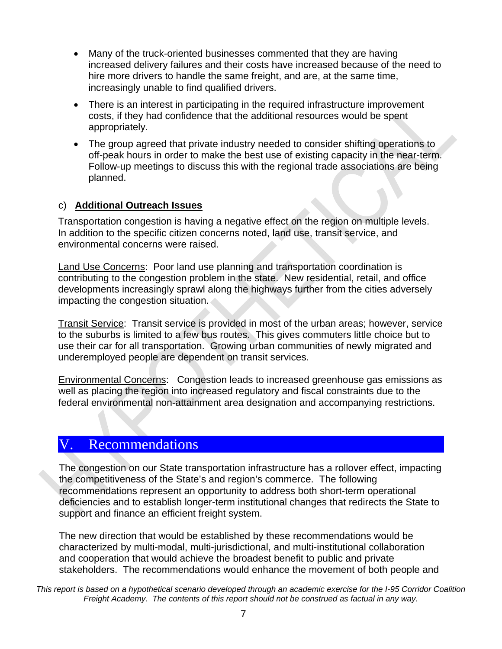- Many of the truck-oriented businesses commented that they are having increased delivery failures and their costs have increased because of the need to hire more drivers to handle the same freight, and are, at the same time, increasingly unable to find qualified drivers.
- There is an interest in participating in the required infrastructure improvement costs, if they had confidence that the additional resources would be spent appropriately.
- The group agreed that private industry needed to consider shifting operations to off-peak hours in order to make the best use of existing capacity in the near-term. Follow-up meetings to discuss this with the regional trade associations are being planned.

### c) **Additional Outreach Issues**

Transportation congestion is having a negative effect on the region on multiple levels. In addition to the specific citizen concerns noted, land use, transit service, and environmental concerns were raised.

Land Use Concerns: Poor land use planning and transportation coordination is contributing to the congestion problem in the state. New residential, retail, and office developments increasingly sprawl along the highways further from the cities adversely impacting the congestion situation.

Transit Service: Transit service is provided in most of the urban areas; however, service to the suburbs is limited to a few bus routes. This gives commuters little choice but to use their car for all transportation. Growing urban communities of newly migrated and underemployed people are dependent on transit services.

Environmental Concerns: Congestion leads to increased greenhouse gas emissions as well as placing the region into increased regulatory and fiscal constraints due to the federal environmental non-attainment area designation and accompanying restrictions.

### V. Recommendations

The congestion on our State transportation infrastructure has a rollover effect, impacting the competitiveness of the State's and region's commerce. The following recommendations represent an opportunity to address both short-term operational deficiencies and to establish longer-term institutional changes that redirects the State to support and finance an efficient freight system.

The new direction that would be established by these recommendations would be characterized by multi-modal, multi-jurisdictional, and multi-institutional collaboration and cooperation that would achieve the broadest benefit to public and private stakeholders. The recommendations would enhance the movement of both people and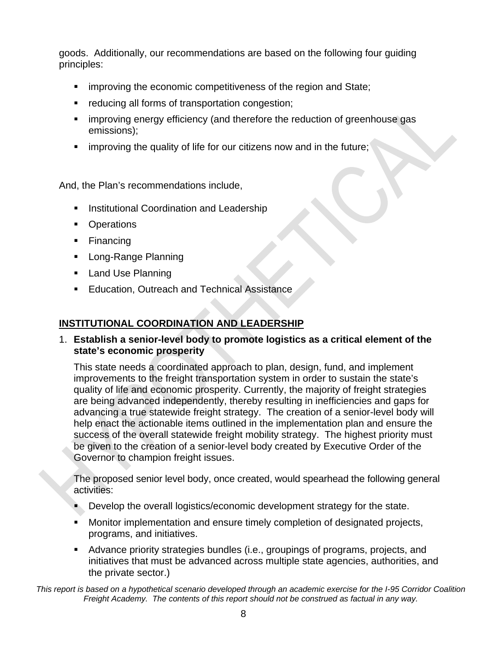goods. Additionally, our recommendations are based on the following four guiding principles:

- **EXEDEE** improving the economic competitiveness of the region and State;
- **•** reducing all forms of transportation congestion;
- **F** improving energy efficiency (and therefore the reduction of greenhouse gas emissions);
- **EXT** improving the quality of life for our citizens now and in the future;

And, the Plan's recommendations include,

- **Institutional Coordination and Leadership**
- Operations
- Financing
- **Long-Range Planning**
- **Land Use Planning**
- **Education, Outreach and Technical Assistance**

### **INSTITUTIONAL COORDINATION AND LEADERSHIP**

1. **Establish a senior-level body to promote logistics as a critical element of the state's economic prosperity**

This state needs a coordinated approach to plan, design, fund, and implement improvements to the freight transportation system in order to sustain the state's quality of life and economic prosperity. Currently, the majority of freight strategies are being advanced independently, thereby resulting in inefficiencies and gaps for advancing a true statewide freight strategy. The creation of a senior-level body will help enact the actionable items outlined in the implementation plan and ensure the success of the overall statewide freight mobility strategy. The highest priority must be given to the creation of a senior-level body created by Executive Order of the Governor to champion freight issues.

The proposed senior level body, once created, would spearhead the following general activities:

- Develop the overall logistics/economic development strategy for the state.
- Monitor implementation and ensure timely completion of designated projects, programs, and initiatives.
- Advance priority strategies bundles (i.e., groupings of programs, projects, and initiatives that must be advanced across multiple state agencies, authorities, and the private sector.)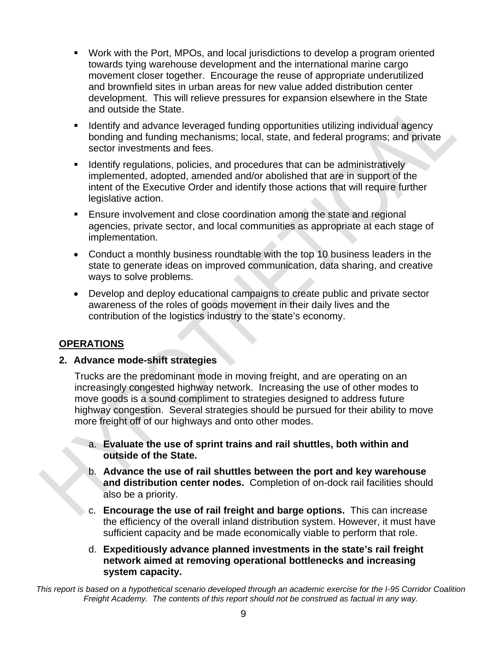- Work with the Port, MPOs, and local jurisdictions to develop a program oriented towards tying warehouse development and the international marine cargo movement closer together. Encourage the reuse of appropriate underutilized and brownfield sites in urban areas for new value added distribution center development. This will relieve pressures for expansion elsewhere in the State and outside the State.
- **If all identify and advance leveraged funding opportunities utilizing individual agency** bonding and funding mechanisms; local, state, and federal programs; and private sector investments and fees.
- If Identify regulations, policies, and procedures that can be administratively implemented, adopted, amended and/or abolished that are in support of the intent of the Executive Order and identify those actions that will require further legislative action.
- Ensure involvement and close coordination among the state and regional agencies, private sector, and local communities as appropriate at each stage of implementation.
- Conduct a monthly business roundtable with the top 10 business leaders in the state to generate ideas on improved communication, data sharing, and creative ways to solve problems.
- Develop and deploy educational campaigns to create public and private sector awareness of the roles of goods movement in their daily lives and the contribution of the logistics industry to the state's economy.

### **OPERATIONS**

l<br>L

### **2. Advance mode-shift strategies**

Trucks are the predominant mode in moving freight, and are operating on an increasingly congested highway network. Increasing the use of other modes to move goods is a sound compliment to strategies designed to address future highway congestion. Several strategies should be pursued for their ability to move more freight off of our highways and onto other modes.

- a. **Evaluate the use of sprint trains and rail shuttles, both within and outside of the State.**
- b. **Advance the use of rail shuttles between the port and key warehouse and distribution center nodes.** Completion of on-dock rail facilities should also be a priority.
- c. **Encourage the use of rail freight and barge options.** This can increase the efficiency of the overall inland distribution system. However, it must have sufficient capacity and be made economically viable to perform that role.
- d. **Expeditiously advance planned investments in the state's rail freight network aimed at removing operational bottlenecks and increasing system capacity.**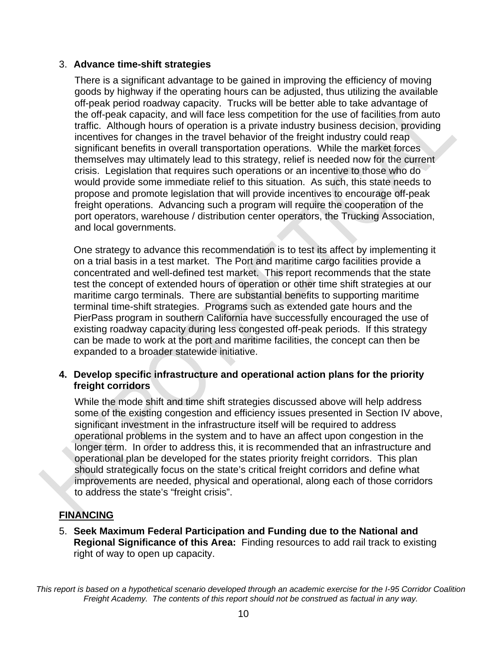#### 3. **Advance time-shift strategies**

There is a significant advantage to be gained in improving the efficiency of moving goods by highway if the operating hours can be adjusted, thus utilizing the available off-peak period roadway capacity. Trucks will be better able to take advantage of the off-peak capacity, and will face less competition for the use of facilities from auto traffic. Although hours of operation is a private industry business decision, providing incentives for changes in the travel behavior of the freight industry could reap significant benefits in overall transportation operations. While the market forces themselves may ultimately lead to this strategy, relief is needed now for the current crisis. Legislation that requires such operations or an incentive to those who do would provide some immediate relief to this situation. As such, this state needs to propose and promote legislation that will provide incentives to encourage off-peak freight operations. Advancing such a program will require the cooperation of the port operators, warehouse / distribution center operators, the Trucking Association, and local governments.

One strategy to advance this recommendation is to test its affect by implementing it on a trial basis in a test market. The Port and maritime cargo facilities provide a concentrated and well-defined test market. This report recommends that the state test the concept of extended hours of operation or other time shift strategies at our maritime cargo terminals. There are substantial benefits to supporting maritime terminal time-shift strategies. Programs such as extended gate hours and the PierPass program in southern California have successfully encouraged the use of existing roadway capacity during less congested off-peak periods. If this strategy can be made to work at the port and maritime facilities, the concept can then be expanded to a broader statewide initiative.

#### **4. Develop specific infrastructure and operational action plans for the priority freight corridors**

While the mode shift and time shift strategies discussed above will help address some of the existing congestion and efficiency issues presented in Section IV above, significant investment in the infrastructure itself will be required to address operational problems in the system and to have an affect upon congestion in the longer term. In order to address this, it is recommended that an infrastructure and operational plan be developed for the states priority freight corridors. This plan should strategically focus on the state's critical freight corridors and define what improvements are needed, physical and operational, along each of those corridors to address the state's "freight crisis".

### **FINANCING**

5. **Seek Maximum Federal Participation and Funding due to the National and Regional Significance of this Area:** Finding resources to add rail track to existing right of way to open up capacity.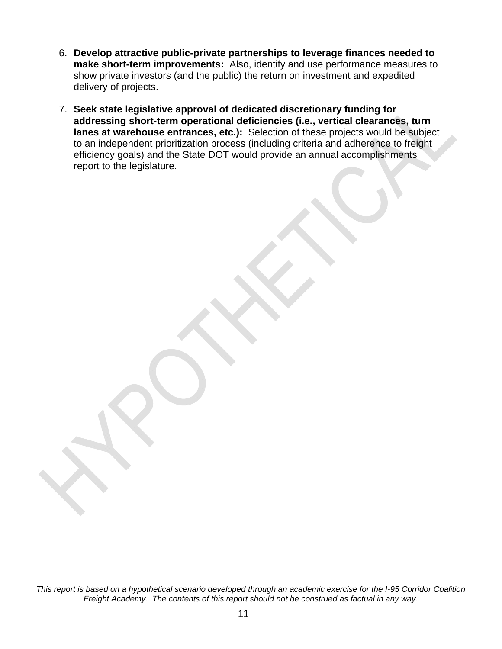- 6. **Develop attractive public-private partnerships to leverage finances needed to make short-term improvements:** Also, identify and use performance measures to show private investors (and the public) the return on investment and expedited delivery of projects.
- 7. **Seek state legislative approval of dedicated discretionary funding for addressing short-term operational deficiencies (i.e., vertical clearances, turn lanes at warehouse entrances, etc.):** Selection of these projects would be subject to an independent prioritization process (including criteria and adherence to freight efficiency goals) and the State DOT would provide an annual accomplishments report to the legislature.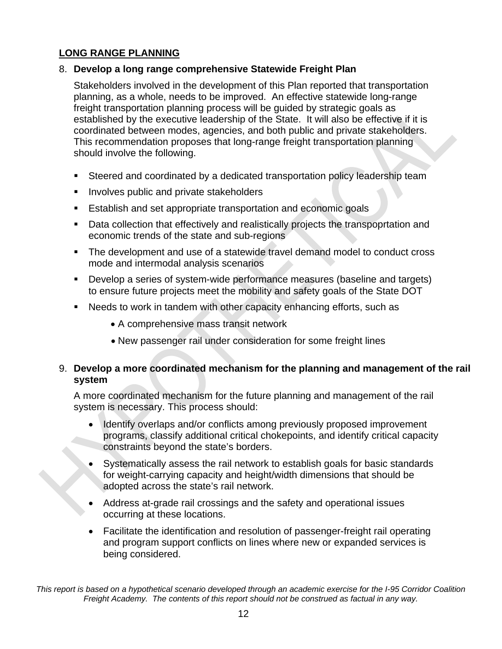### **LONG RANGE PLANNING**

### 8. **Develop a long range comprehensive Statewide Freight Plan**

Stakeholders involved in the development of this Plan reported that transportation planning, as a whole, needs to be improved. An effective statewide long-range freight transportation planning process will be guided by strategic goals as established by the executive leadership of the State. It will also be effective if it is coordinated between modes, agencies, and both public and private stakeholders. This recommendation proposes that long-range freight transportation planning should involve the following.

- Steered and coordinated by a dedicated transportation policy leadership team
- **IDED** Involves public and private stakeholders
- **Establish and set appropriate transportation and economic goals**
- Data collection that effectively and realistically projects the transpoprtation and economic trends of the state and sub-regions
- The development and use of a statewide travel demand model to conduct cross mode and intermodal analysis scenarios
- **Develop a series of system-wide performance measures (baseline and targets)** to ensure future projects meet the mobility and safety goals of the State DOT
- Needs to work in tandem with other capacity enhancing efforts, such as
	- A comprehensive mass transit network
	- New passenger rail under consideration for some freight lines

### 9. **Develop a more coordinated mechanism for the planning and management of the rail system**

A more coordinated mechanism for the future planning and management of the rail system is necessary. This process should:

- Identify overlaps and/or conflicts among previously proposed improvement programs, classify additional critical chokepoints, and identify critical capacity constraints beyond the state's borders.
- Systematically assess the rail network to establish goals for basic standards for weight-carrying capacity and height/width dimensions that should be adopted across the state's rail network.
- Address at-grade rail crossings and the safety and operational issues occurring at these locations.
- Facilitate the identification and resolution of passenger-freight rail operating and program support conflicts on lines where new or expanded services is being considered.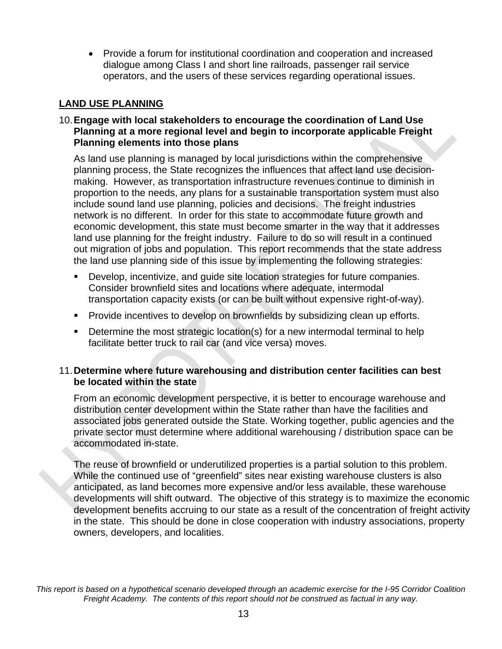• Provide a forum for institutional coordination and cooperation and increased dialogue among Class I and short line railroads, passenger rail service operators, and the users of these services regarding operational issues.

### **LAND USE PLANNING**

### 10. **Engage with local stakeholders to encourage the coordination of Land Use Planning at a more regional level and begin to incorporate applicable Freight Planning elements into those plans**

As land use planning is managed by local jurisdictions within the comprehensive planning process, the State recognizes the influences that affect land use decisionmaking. However, as transportation infrastructure revenues continue to diminish in proportion to the needs, any plans for a sustainable transportation system must also include sound land use planning, policies and decisions. The freight industries network is no different. In order for this state to accommodate future growth and economic development, this state must become smarter in the way that it addresses land use planning for the freight industry. Failure to do so will result in a continued out migration of jobs and population. This report recommends that the state address the land use planning side of this issue by implementing the following strategies:

- Develop, incentivize, and guide site location strategies for future companies. Consider brownfield sites and locations where adequate, intermodal transportation capacity exists (or can be built without expensive right-of-way).
- **Provide incentives to develop on brownfields by subsidizing clean up efforts.**
- **Determine the most strategic location(s) for a new intermodal terminal to help** facilitate better truck to rail car (and vice versa) moves.

### 11. **Determine where future warehousing and distribution center facilities can best be located within the state**

From an economic development perspective, it is better to encourage warehouse and distribution center development within the State rather than have the facilities and associated jobs generated outside the State. Working together, public agencies and the private sector must determine where additional warehousing / distribution space can be accommodated in-state.

The reuse of brownfield or underutilized properties is a partial solution to this problem. While the continued use of "greenfield" sites near existing warehouse clusters is also anticipated, as land becomes more expensive and/or less available, these warehouse developments will shift outward. The objective of this strategy is to maximize the economic development benefits accruing to our state as a result of the concentration of freight activity in the state. This should be done in close cooperation with industry associations, property owners, developers, and localities.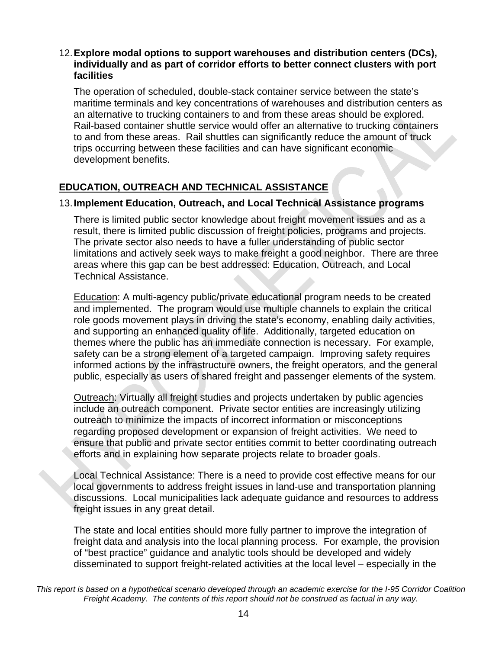#### 12. **Explore modal options to support warehouses and distribution centers (DCs), individually and as part of corridor efforts to better connect clusters with port facilities**

The operation of scheduled, double-stack container service between the state's maritime terminals and key concentrations of warehouses and distribution centers as an alternative to trucking containers to and from these areas should be explored. Rail-based container shuttle service would offer an alternative to trucking containers to and from these areas. Rail shuttles can significantly reduce the amount of truck trips occurring between these facilities and can have significant economic development benefits.

### **EDUCATION, OUTREACH AND TECHNICAL ASSISTANCE**

#### 13. **Implement Education, Outreach, and Local Technical Assistance programs**

There is limited public sector knowledge about freight movement issues and as a result, there is limited public discussion of freight policies, programs and projects. The private sector also needs to have a fuller understanding of public sector limitations and actively seek ways to make freight a good neighbor. There are three areas where this gap can be best addressed: Education, Outreach, and Local Technical Assistance.

Education: A multi-agency public/private educational program needs to be created and implemented. The program would use multiple channels to explain the critical role goods movement plays in driving the state's economy, enabling daily activities, and supporting an enhanced quality of life. Additionally, targeted education on themes where the public has an immediate connection is necessary. For example, safety can be a strong element of a targeted campaign. Improving safety requires informed actions by the infrastructure owners, the freight operators, and the general public, especially as users of shared freight and passenger elements of the system.

Outreach: Virtually all freight studies and projects undertaken by public agencies include an outreach component. Private sector entities are increasingly utilizing outreach to minimize the impacts of incorrect information or misconceptions regarding proposed development or expansion of freight activities. We need to ensure that public and private sector entities commit to better coordinating outreach efforts and in explaining how separate projects relate to broader goals.

Local Technical Assistance: There is a need to provide cost effective means for our local governments to address freight issues in land-use and transportation planning discussions. Local municipalities lack adequate guidance and resources to address freight issues in any great detail.

The state and local entities should more fully partner to improve the integration of freight data and analysis into the local planning process. For example, the provision of "best practice" guidance and analytic tools should be developed and widely disseminated to support freight-related activities at the local level – especially in the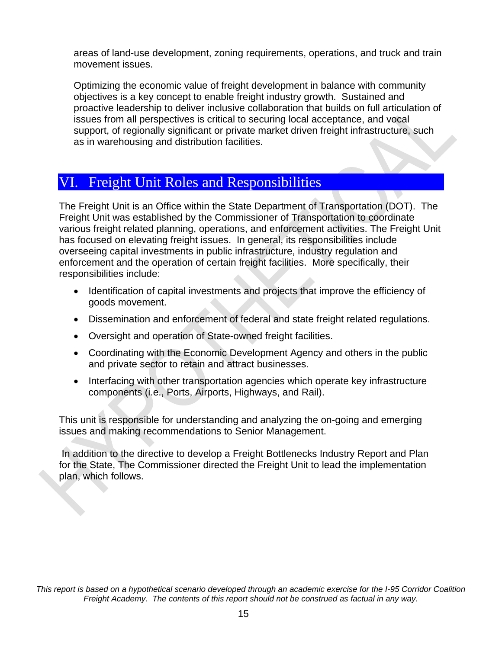areas of land-use development, zoning requirements, operations, and truck and train movement issues.

Optimizing the economic value of freight development in balance with community objectives is a key concept to enable freight industry growth. Sustained and proactive leadership to deliver inclusive collaboration that builds on full articulation of issues from all perspectives is critical to securing local acceptance, and vocal support, of regionally significant or private market driven freight infrastructure, such as in warehousing and distribution facilities.

### VI. Freight Unit Roles and Responsibilities

The Freight Unit is an Office within the State Department of Transportation (DOT). The Freight Unit was established by the Commissioner of Transportation to coordinate various freight related planning, operations, and enforcement activities. The Freight Unit has focused on elevating freight issues. In general, its responsibilities include overseeing capital investments in public infrastructure, industry regulation and enforcement and the operation of certain freight facilities. More specifically, their responsibilities include:

- Identification of capital investments and projects that improve the efficiency of goods movement.
- Dissemination and enforcement of federal and state freight related regulations.
- Oversight and operation of State-owned freight facilities.
- Coordinating with the Economic Development Agency and others in the public and private sector to retain and attract businesses.
- Interfacing with other transportation agencies which operate key infrastructure components (i.e., Ports, Airports, Highways, and Rail).

This unit is responsible for understanding and analyzing the on-going and emerging issues and making recommendations to Senior Management.

 In addition to the directive to develop a Freight Bottlenecks Industry Report and Plan for the State, The Commissioner directed the Freight Unit to lead the implementation plan, which follows.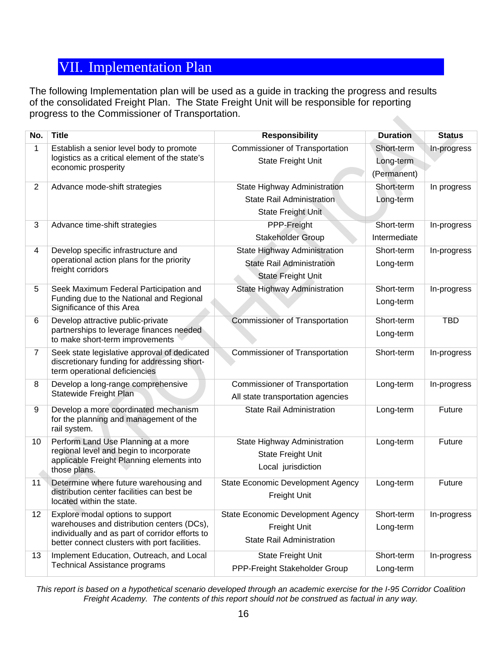### VII. Implementation Plan

The following Implementation plan will be used as a guide in tracking the progress and results of the consolidated Freight Plan. The State Freight Unit will be responsible for reporting progress to the Commissioner of Transportation.

| No.            | <b>Title</b>                                                                                                                                                                       | <b>Responsibility</b>                                                                         | <b>Duration</b>                        | <b>Status</b> |
|----------------|------------------------------------------------------------------------------------------------------------------------------------------------------------------------------------|-----------------------------------------------------------------------------------------------|----------------------------------------|---------------|
| 1              | Establish a senior level body to promote<br>logistics as a critical element of the state's<br>economic prosperity                                                                  | Commissioner of Transportation<br><b>State Freight Unit</b>                                   | Short-term<br>Long-term<br>(Permanent) | In-progress   |
| $\overline{2}$ | Advance mode-shift strategies                                                                                                                                                      | State Highway Administration<br><b>State Rail Administration</b><br>State Freight Unit        | Short-term<br>Long-term                | In progress   |
| 3              | Advance time-shift strategies                                                                                                                                                      | PPP-Freight<br>Stakeholder Group                                                              | Short-term<br>Intermediate             | In-progress   |
| 4              | Develop specific infrastructure and<br>operational action plans for the priority<br>freight corridors                                                                              | State Highway Administration<br><b>State Rail Administration</b><br><b>State Freight Unit</b> | Short-term<br>Long-term                | In-progress   |
| 5              | Seek Maximum Federal Participation and<br>Funding due to the National and Regional<br>Significance of this Area                                                                    | State Highway Administration                                                                  | Short-term<br>Long-term                | In-progress   |
| 6              | Develop attractive public-private<br>partnerships to leverage finances needed<br>to make short-term improvements                                                                   | <b>Commissioner of Transportation</b>                                                         | Short-term<br>Long-term                | <b>TBD</b>    |
| 7              | Seek state legislative approval of dedicated<br>discretionary funding for addressing short-<br>term operational deficiencies                                                       | <b>Commissioner of Transportation</b>                                                         | Short-term                             | In-progress   |
| 8              | Develop a long-range comprehensive<br>Statewide Freight Plan                                                                                                                       | <b>Commissioner of Transportation</b><br>All state transportation agencies                    | Long-term                              | In-progress   |
| 9              | Develop a more coordinated mechanism<br>for the planning and management of the<br>rail system.                                                                                     | <b>State Rail Administration</b>                                                              | Long-term                              | Future        |
| 10             | Perform Land Use Planning at a more<br>regional level and begin to incorporate<br>applicable Freight Planning elements into<br>those plans.                                        | State Highway Administration<br><b>State Freight Unit</b><br>Local jurisdiction               | Long-term                              | Future        |
| 11             | Determine where future warehousing and<br>distribution center facilities can best be<br>located within the state.                                                                  | <b>State Economic Development Agency</b><br>Freight Unit                                      | Long-term                              | Future        |
| 12             | Explore modal options to support<br>warehouses and distribution centers (DCs),<br>individually and as part of corridor efforts to<br>better connect clusters with port facilities. | <b>State Economic Development Agency</b><br>Freight Unit<br><b>State Rail Administration</b>  | Short-term<br>Long-term                | In-progress   |
| 13             | Implement Education, Outreach, and Local<br>Technical Assistance programs                                                                                                          | State Freight Unit<br>PPP-Freight Stakeholder Group                                           | Short-term<br>Long-term                | In-progress   |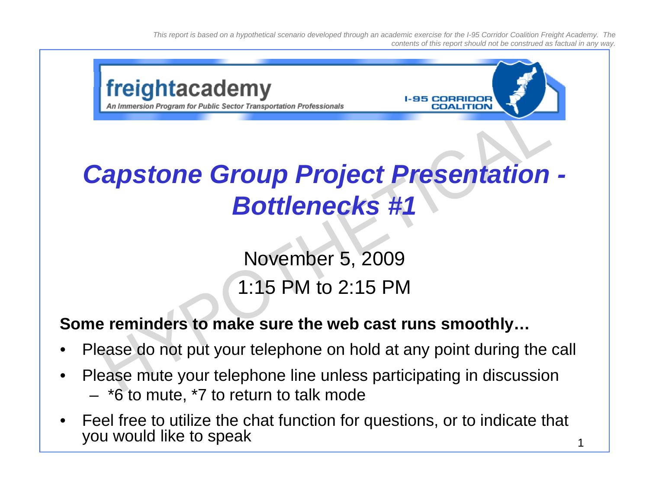

### **Some reminders to make sure the web cast runs smoothly…**

- •Please do not put your telephone on hold at any point during the call
- • Please mute your telephone line unless participating in discussion – \*6 to mute, \*7 to return to talk mode
- • Feel free to utilize the chat function for questions, or to indicate that you would like to speak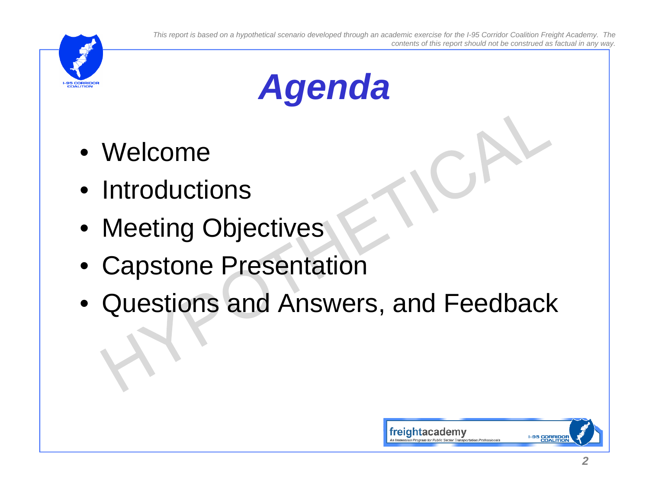



- Welcome
- Introductions
- Meeting Objectives
- •Capstone Presentation
- Questions and Answers, and Feedback

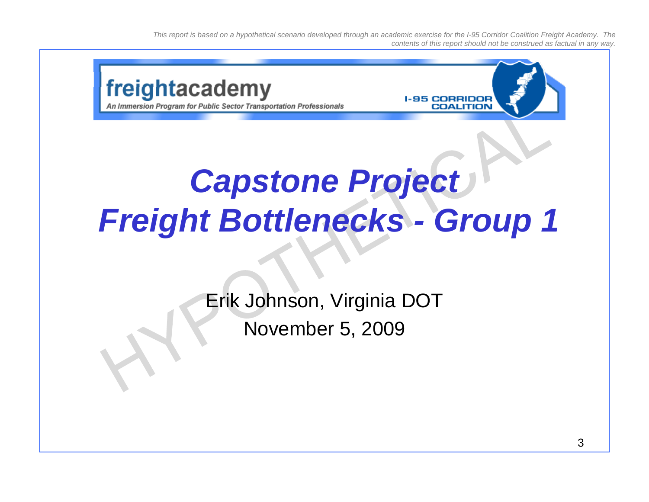

## *Capstone Project Freight Bottlenecks Freight - Group 1*

Erik Johnson, Virginia DOT November 5, 2009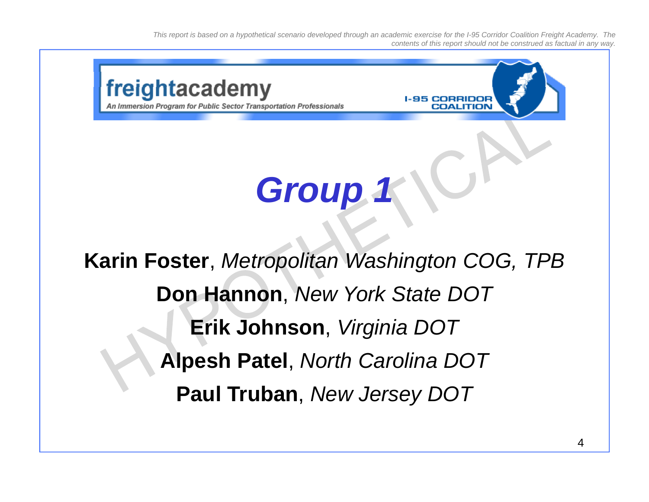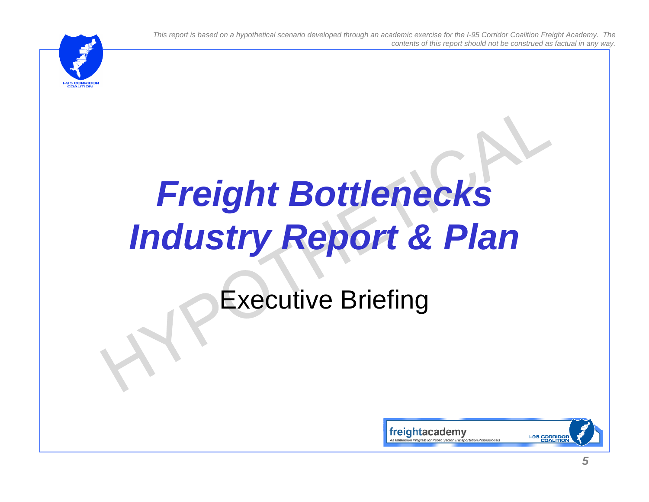

# *Freight Bottlenecks Industry Report & Plan*

## Executive Briefing

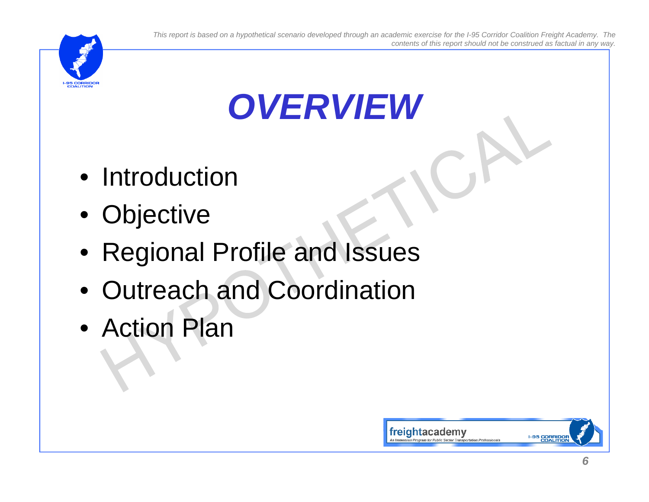

## *OVERVIEW*

- Introduction
- Objective
- Regional Profile and Issues
- Outreach and Coordination
- Action Plan

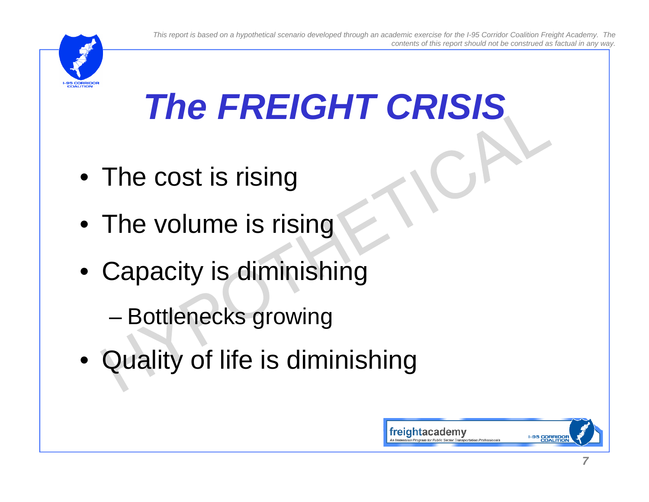

# *The FREIGHT CRISIS*

- The cost is rising
- $\bullet\,$  The volume is rising
- $\bullet\,$  Capacity is diminishing
	- –Bottlenecks growing
- Quality of life is diminishing

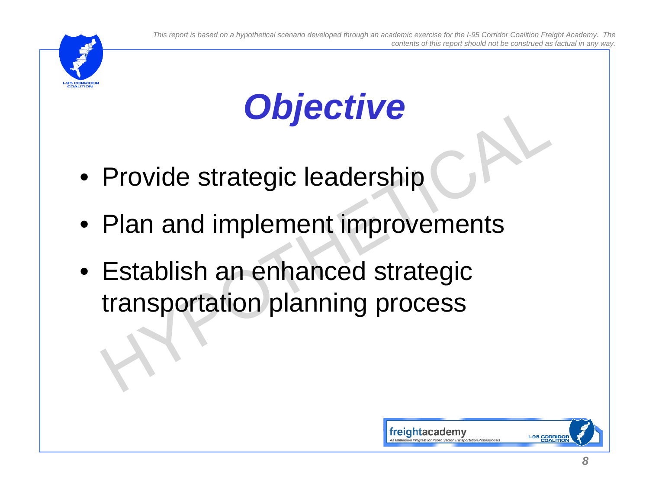

# *Objective*

- Provide strategic leadership
- $\bullet\,$  Plan and implement improvements
- Establish an enhanced strategic transportation planning process

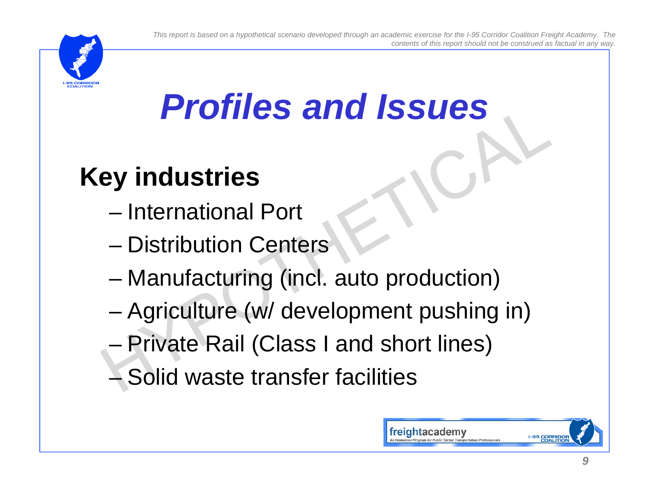

## *Profiles and Issues*

## **Key industries**

- International Port
- Distribution Centers
- –– Manufacturing (incl. auto production)
- –Agriculture (w/ development pushing in)
- Private Rail (Class I and short lines)
- Solid waste transfer facilities

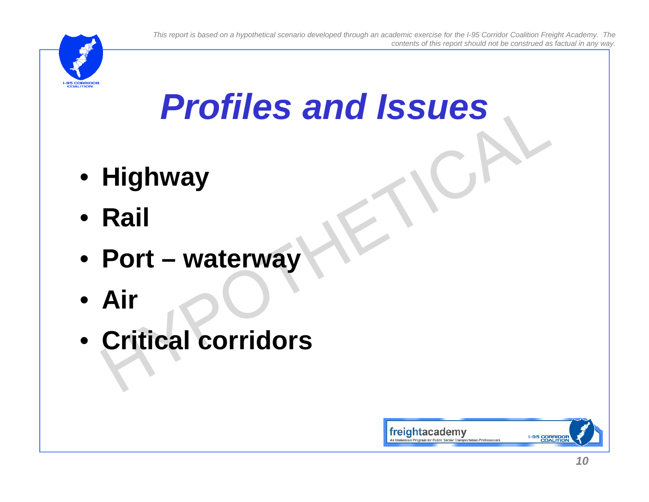

## *Profiles and Issues*

- **Highway**
- **Rail**
- **Port – waterway**
- **Air**
- **Critical corridors corridors**

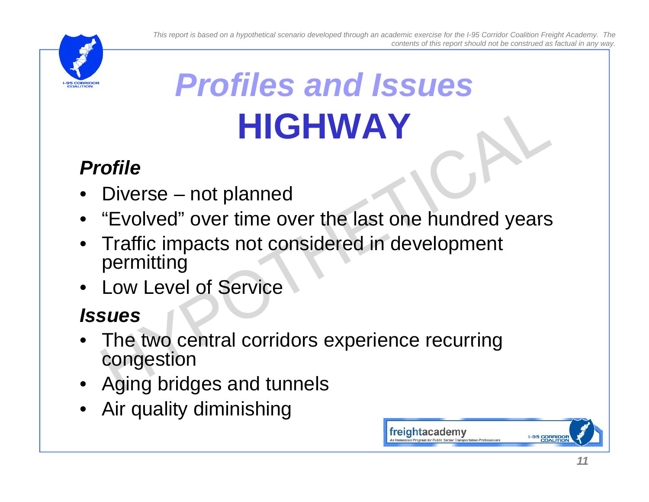

# *Profiles and Issues***HIGHWAY**

### *Profile*

- •Diverse – not planned
- "Evolved" over time over the last one hundred years
- • Traffic impacts not considered in development permitting
- Low Level of Service

- •The two central corridors experience recurring congestion
- Aging bridges and tunnels
- •Air quality diminishing

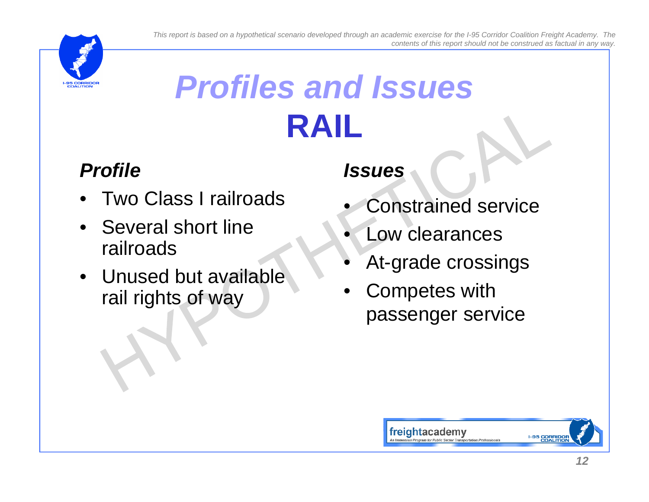

## *Profiles and Issues***RAIL**

### *Profile*

- •Two Class I railroads
- Several short line railroads
- Unused but available At-grade crossings Unused but available<br>
Function of way<br>
Function of way<br>
Passenger service<br>
passenger service

- •Constrained service
- •Low clearances
- •
- 

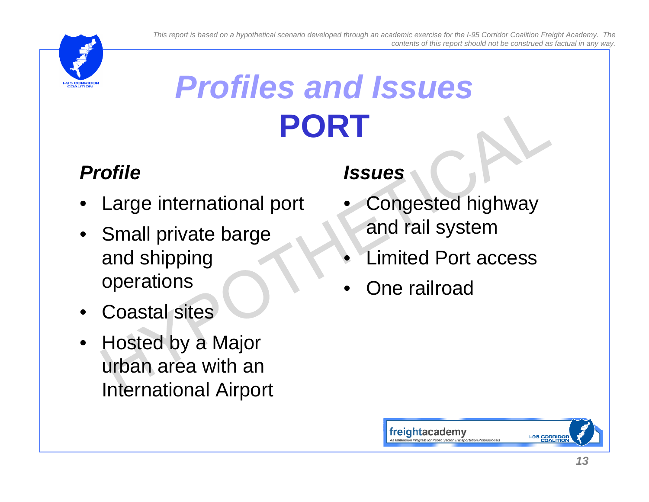

## *Profiles and Issues***PORT**

### *Profile*

- •Large international port
- Small private barge and shipping operations
- •Coastal sites
- • Hosted by <sup>a</sup> Major urban area with an International Airport

- • Congested highway and rail system
- •Limited Port access
- One railroad •

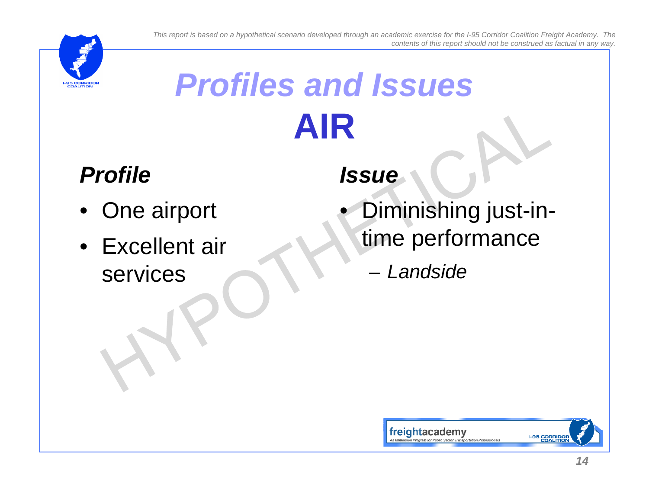

# *Profiles and Issues***AIR**

## *Profile*

- One airport
- Excellent air services

- p Diminishing just-in- g j time performance
	- *Landside*

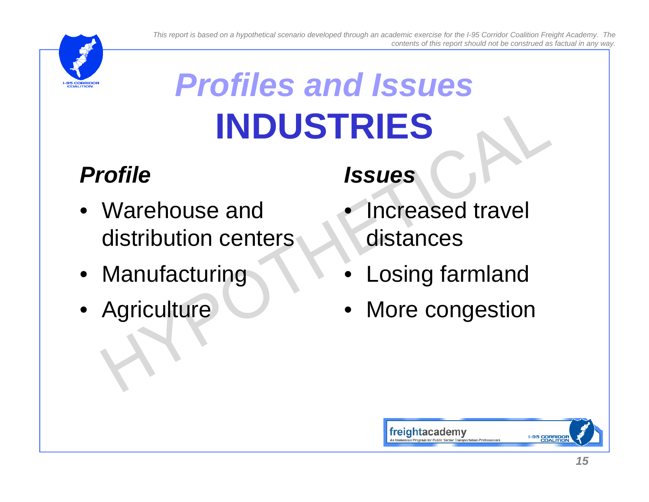

# *Profiles and Issues***INDUSTRIES**

## *Profile*

- Warehouse and distribution centers
- Manufacturing
- Agriculture

- • Increased travel distances
- •Losing farmland
- More congestion

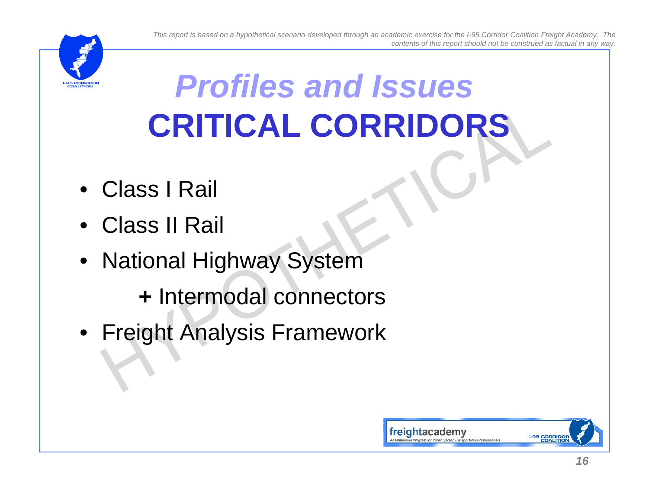

## *Profiles and Issues***CRITICAL CORRIDORS**

- Class I Rail
- $\bullet~$  Class II Rail
- National Highway System

**+** Intermodal connectors

• Freight Analysis Framework

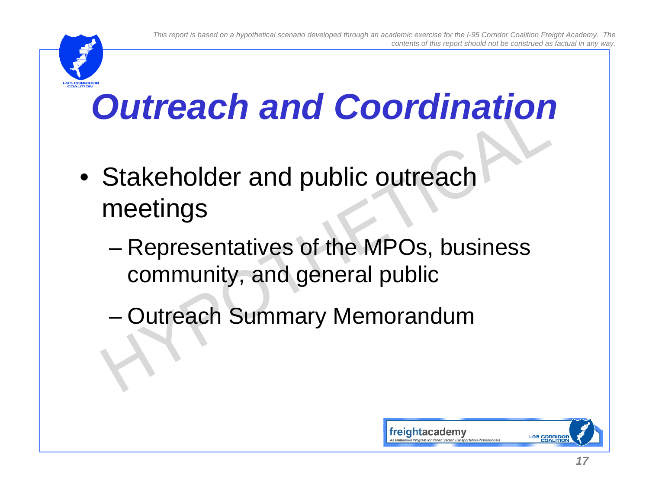

- Stakeholder and public outreach meetings
	- – Representatives of the MPOs, business community, and general public
	- –Outreach Summary Memorandum

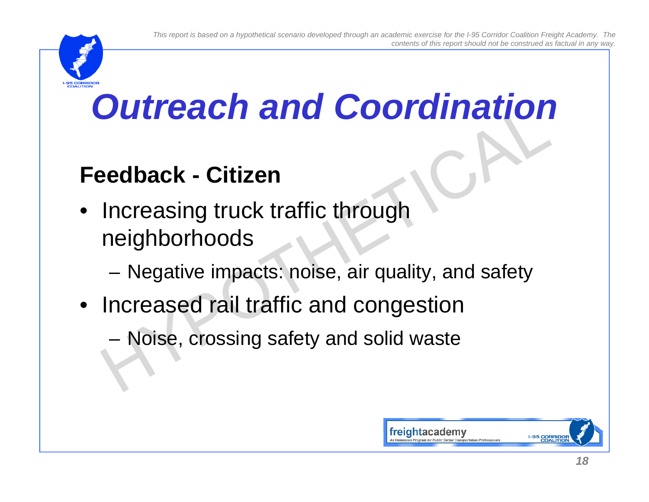

## **Feedback - Citizen**

- Increasing truck traffic through neighborhoods
	- –– Negative impacts: noise, air quality, and safety
- Increased rail traffic and congestion
	- –– Noise, crossing safety and solid waste

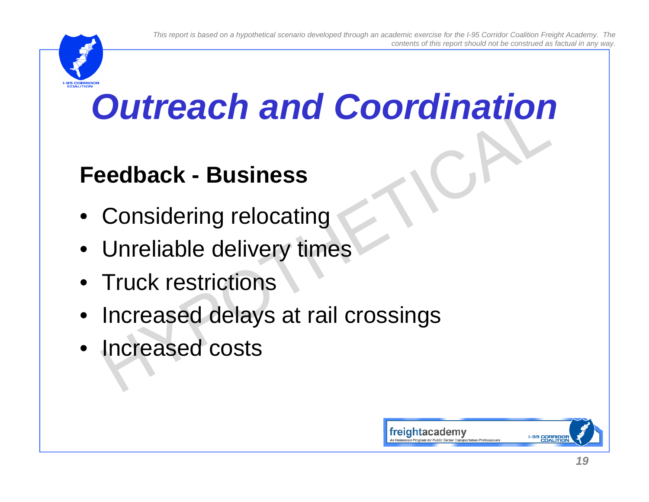

## **Feedback - Business**

- Considering relocating
- Unreliable delivery times
- Truck restrictions
- Increased delays at rail crossings
- Increased costs

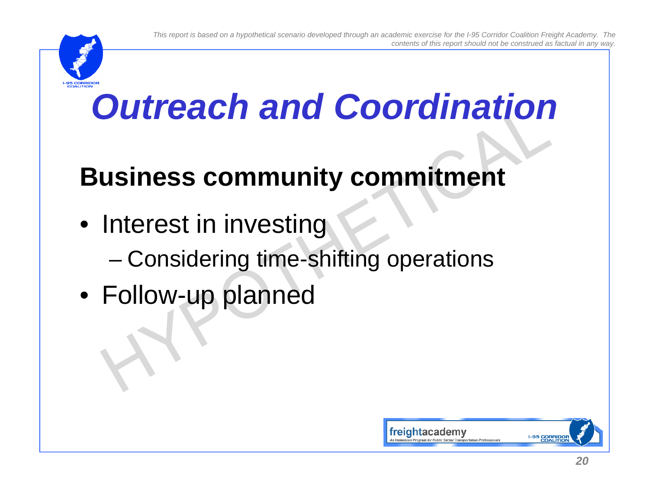

## **Business community commitment**

- $\bullet\,$  Interest in investing
	- –Considering time-shifting operations
- Follow-up planned

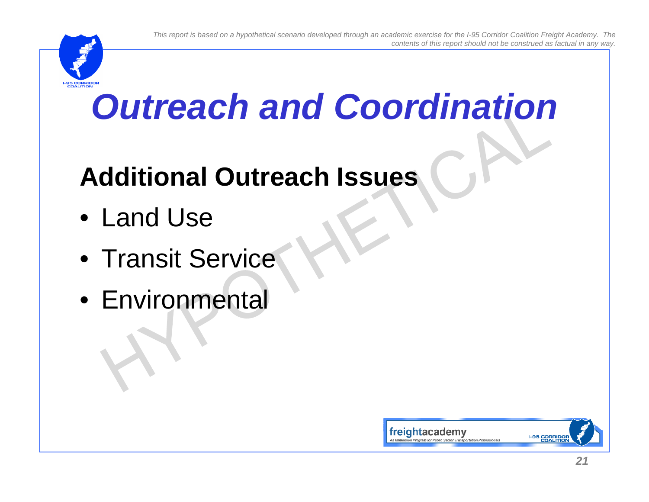

## **Additional Outreach Issues**

- Land Use
- Transit Service
- Environmental

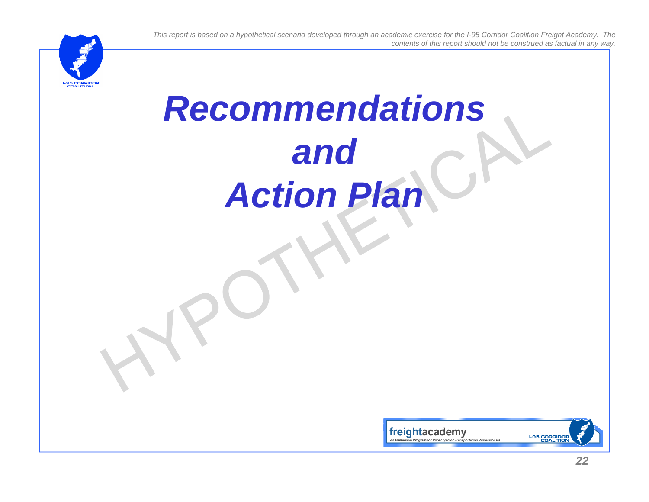# *Recommendations and Action Plan*

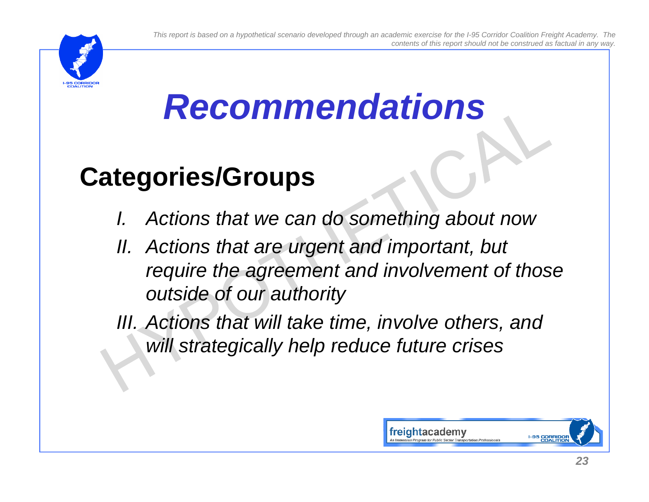

## *Recommendations*

## **Categories/Groups**

- *I.Actions that we can do something about now*
- *II. Actions that are urgent and important, but require the agreement and involvement of those outside of our authority*

*III. Actions that will take time, involve others, and will strategically help reduce future crises*

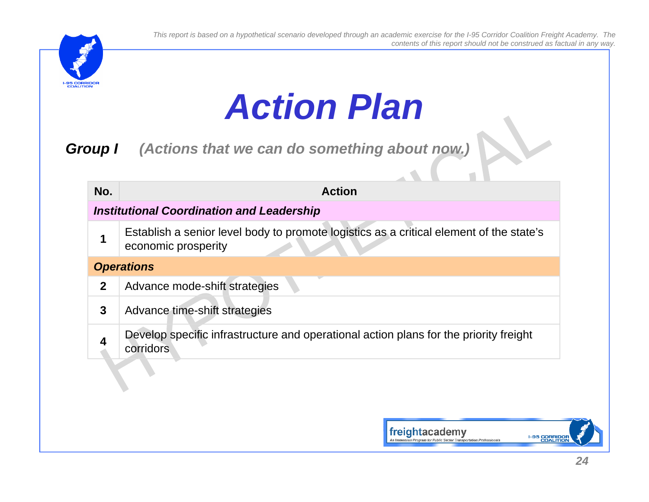

 $\sim$  1

## *Action Plan*

*Group I (Actions that we can do something about now.) p( g)*

| No.         | <b>Action</b>                                                                                                  |
|-------------|----------------------------------------------------------------------------------------------------------------|
|             | <b>Institutional Coordination and Leadership</b>                                                               |
|             | Establish a senior level body to promote logistics as a critical element of the state's<br>economic prosperity |
|             | <b>Operations</b>                                                                                              |
| $\mathbf 2$ | Advance mode-shift strategies                                                                                  |
| 3           | Advance time-shift strategies                                                                                  |
| 4           | Develop specific infrastructure and operational action plans for the priority freight<br><b>corridors</b>      |
|             |                                                                                                                |

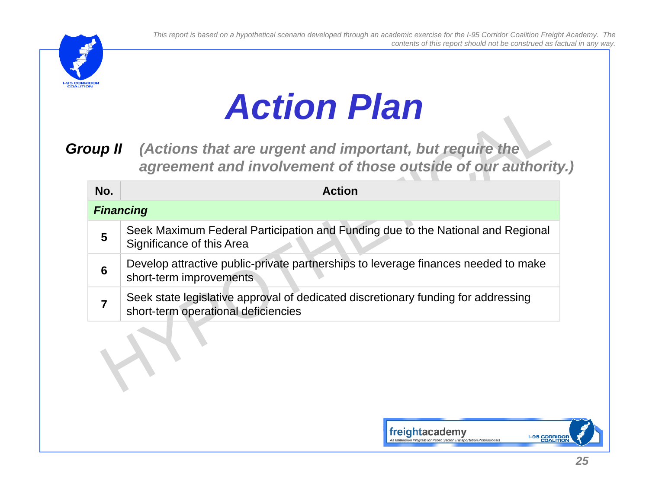# *Action Plan*

*Group II* (Actions that are urgent and important, but require the *agreement and involvement of those outside of our authority.)*

| No. | <b>Action</b>                                                                                                            |
|-----|--------------------------------------------------------------------------------------------------------------------------|
|     | <b>Financing</b>                                                                                                         |
| 5   | Seek Maximum Federal Participation and Funding due to the National and Regional<br>Significance of this Area             |
| 6   | Develop attractive public-private partnerships to leverage finances needed to make<br>short-term improvements            |
|     | Seek state legislative approval of dedicated discretionary funding for addressing<br>short-term operational deficiencies |

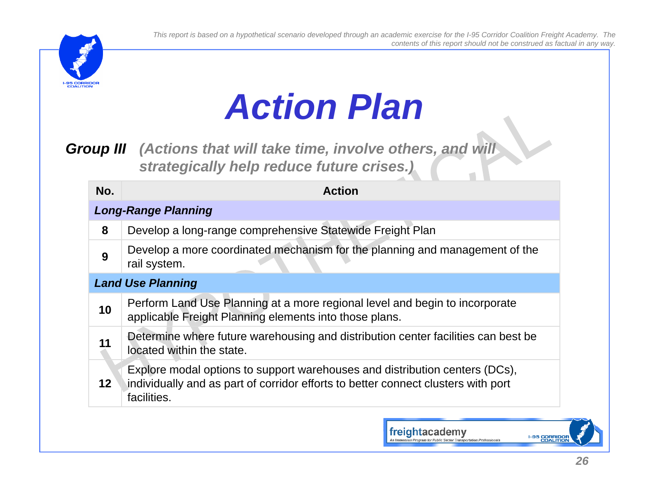

## *Action Plan*

*Group III (Actions that will take time, involve others, and will strategically help reduce future crises.)*

| <b>Action</b>                                                                                                                                                                   |
|---------------------------------------------------------------------------------------------------------------------------------------------------------------------------------|
| <b>Long-Range Planning</b>                                                                                                                                                      |
| Develop a long-range comprehensive Statewide Freight Plan                                                                                                                       |
| Develop a more coordinated mechanism for the planning and management of the<br>rail system.                                                                                     |
| <b>Land Use Planning</b>                                                                                                                                                        |
| Perform Land Use Planning at a more regional level and begin to incorporate<br>applicable Freight Planning elements into those plans.                                           |
| Determine where future warehousing and distribution center facilities can best be<br>located within the state.                                                                  |
| Explore modal options to support warehouses and distribution centers (DCs),<br>individually and as part of corridor efforts to better connect clusters with port<br>facilities. |
|                                                                                                                                                                                 |

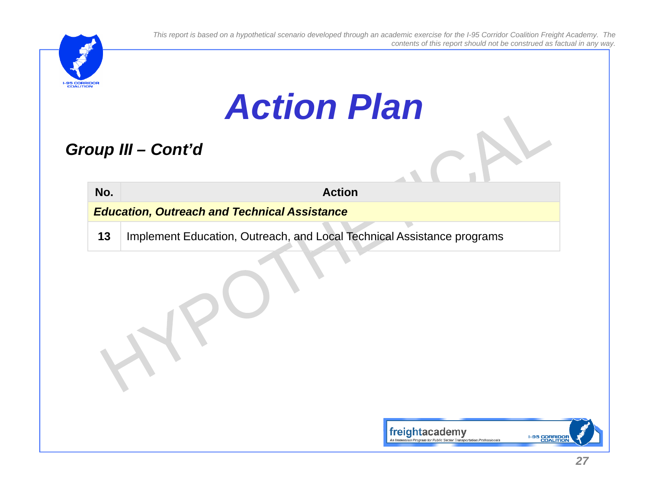

## *Action Plan*

### *Group III – Cont'd*

**No. Action***Education, Outreach and Technical Assistance*

**13**Implement Education, Outreach, and Local Technical Assistance programs